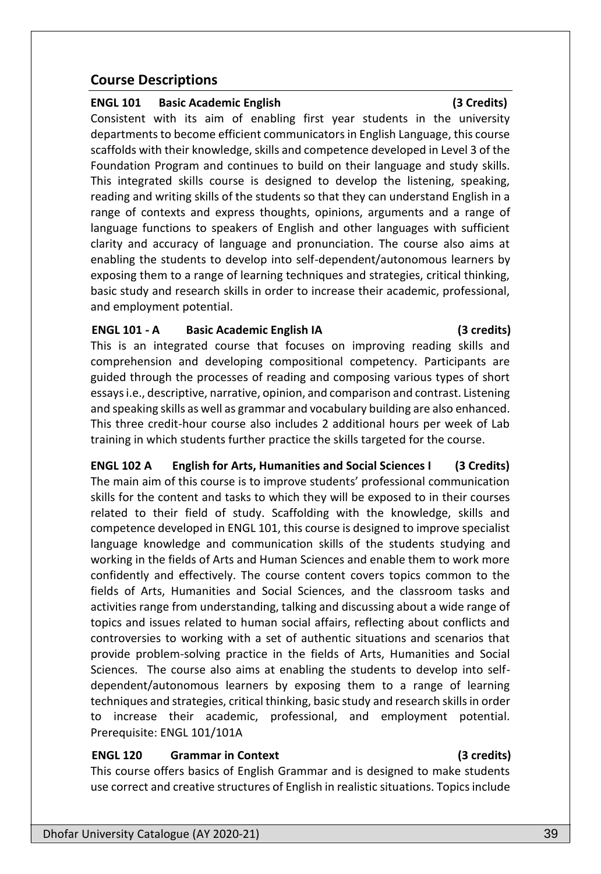# **Course Descriptions**

### **ENGL 101 Basic Academic English (3 Credits)**

Consistent with its aim of enabling first year students in the university departments to become efficient communicators in English Language, this course scaffolds with their knowledge, skills and competence developed in Level 3 of the Foundation Program and continues to build on their language and study skills. This integrated skills course is designed to develop the listening, speaking, reading and writing skills of the students so that they can understand English in a range of contexts and express thoughts, opinions, arguments and a range of language functions to speakers of English and other languages with sufficient clarity and accuracy of language and pronunciation. The course also aims at enabling the students to develop into self-dependent/autonomous learners by exposing them to a range of learning techniques and strategies, critical thinking, basic study and research skills in order to increase their academic, professional, and employment potential.

### **ENGL 101 - A Basic Academic English IA (3 credits)**

This is an integrated course that focuses on improving reading skills and comprehension and developing compositional competency. Participants are guided through the processes of reading and composing various types of short essays i.e., descriptive, narrative, opinion, and comparison and contrast. Listening and speaking skills as well as grammar and vocabulary building are also enhanced. This three credit-hour course also includes 2 additional hours per week of Lab training in which students further practice the skills targeted for the course.

**ENGL 102 A English for Arts, Humanities and Social Sciences I (3 Credits)** The main aim of this course is to improve students' professional communication skills for the content and tasks to which they will be exposed to in their courses related to their field of study. Scaffolding with the knowledge, skills and competence developed in ENGL 101, this course is designed to improve specialist language knowledge and communication skills of the students studying and working in the fields of Arts and Human Sciences and enable them to work more confidently and effectively. The course content covers topics common to the fields of Arts, Humanities and Social Sciences, and the classroom tasks and activities range from understanding, talking and discussing about a wide range of topics and issues related to human social affairs, reflecting about conflicts and controversies to working with a set of authentic situations and scenarios that provide problem-solving practice in the fields of Arts, Humanities and Social Sciences. The course also aims at enabling the students to develop into selfdependent/autonomous learners by exposing them to a range of learning techniques and strategies, critical thinking, basic study and research skills in order to increase their academic, professional, and employment potential. Prerequisite: ENGL 101/101A

### **ENGL 120 Grammar in Context (3 credits)**

This course offers basics of English Grammar and is designed to make students use correct and creative structures of English in realistic situations. Topics include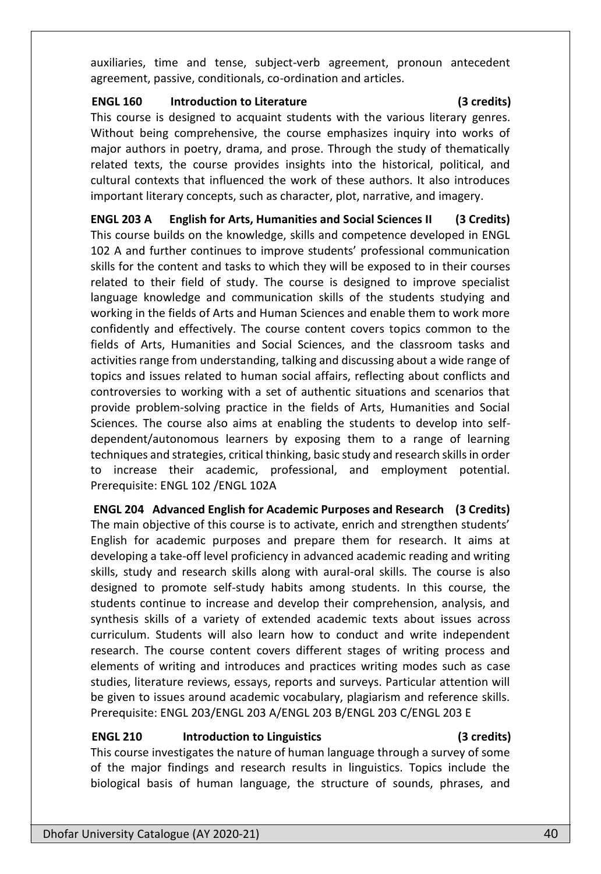auxiliaries, time and tense, subject-verb agreement, pronoun antecedent agreement, passive, conditionals, co-ordination and articles.

### **ENGL 160 Introduction to Literature (3 credits)**

This course is designed to acquaint students with the various literary genres. Without being comprehensive, the course emphasizes inquiry into works of major authors in poetry, drama, and prose. Through the study of thematically related texts, the course provides insights into the historical, political, and cultural contexts that influenced the work of these authors. It also introduces important literary concepts, such as character, plot, narrative, and imagery.

**ENGL 203 A English for Arts, Humanities and Social Sciences II (3 Credits)** This course builds on the knowledge, skills and competence developed in ENGL 102 A and further continues to improve students' professional communication skills for the content and tasks to which they will be exposed to in their courses related to their field of study. The course is designed to improve specialist language knowledge and communication skills of the students studying and working in the fields of Arts and Human Sciences and enable them to work more confidently and effectively. The course content covers topics common to the fields of Arts, Humanities and Social Sciences, and the classroom tasks and activities range from understanding, talking and discussing about a wide range of topics and issues related to human social affairs, reflecting about conflicts and controversies to working with a set of authentic situations and scenarios that provide problem-solving practice in the fields of Arts, Humanities and Social Sciences. The course also aims at enabling the students to develop into selfdependent/autonomous learners by exposing them to a range of learning techniques and strategies, critical thinking, basic study and research skills in order to increase their academic, professional, and employment potential. Prerequisite: ENGL 102 /ENGL 102A

**ENGL 204 Advanced English for Academic Purposes and Research (3 Credits)**  The main objective of this course is to activate, enrich and strengthen students' English for academic purposes and prepare them for research. It aims at developing a take-off level proficiency in advanced academic reading and writing skills, study and research skills along with aural-oral skills. The course is also designed to promote self-study habits among students. In this course, the students continue to increase and develop their comprehension, analysis, and synthesis skills of a variety of extended academic texts about issues across curriculum. Students will also learn how to conduct and write independent research. The course content covers different stages of writing process and elements of writing and introduces and practices writing modes such as case studies, literature reviews, essays, reports and surveys. Particular attention will be given to issues around academic vocabulary, plagiarism and reference skills. Prerequisite: ENGL 203/ENGL 203 A/ENGL 203 B/ENGL 203 C/ENGL 203 E

## **ENGL 210 Introduction to Linguistics (3 credits)**

This course investigates the nature of human language through a survey of some of the major findings and research results in linguistics. Topics include the biological basis of human language, the structure of sounds, phrases, and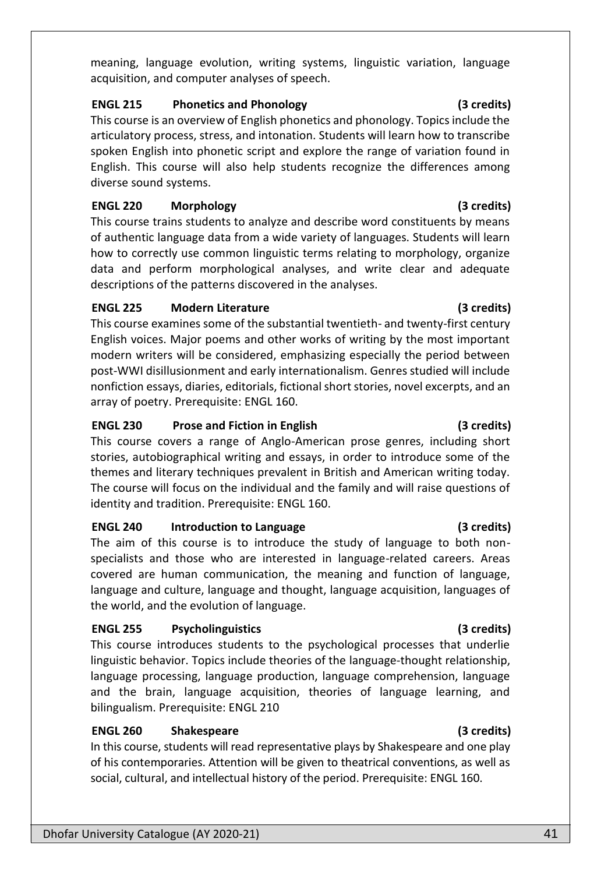meaning, language evolution, writing systems, linguistic variation, language acquisition, and computer analyses of speech.

### **ENGL 215 Phonetics and Phonology (3 credits)**

This course is an overview of English phonetics and phonology. Topics include the articulatory process, stress, and intonation. Students will learn how to transcribe spoken English into phonetic script and explore the range of variation found in English. This course will also help students recognize the differences among diverse sound systems.

## **ENGL 220 Morphology (3 credits)**

This course trains students to analyze and describe word constituents by means of authentic language data from a wide variety of languages. Students will learn how to correctly use common linguistic terms relating to morphology, organize data and perform morphological analyses, and write clear and adequate descriptions of the patterns discovered in the analyses.

## **ENGL 225 Modern Literature (3 credits)**

This course examines some of the substantial twentieth- and twenty-first century English voices. Major poems and other works of writing by the most important modern writers will be considered, emphasizing especially the period between post-WWI disillusionment and early internationalism. Genres studied will include nonfiction essays, diaries, editorials, fictional short stories, novel excerpts, and an array of poetry. Prerequisite: ENGL 160.

## **ENGL 230 Prose and Fiction in English (3 credits)**

This course covers a range of Anglo-American prose genres, including short stories, autobiographical writing and essays, in order to introduce some of the themes and literary techniques prevalent in British and American writing today. The course will focus on the individual and the family and will raise questions of identity and tradition. Prerequisite: ENGL 160.

## **ENGL 240 Introduction to Language (3 credits)**

The aim of this course is to introduce the study of language to both nonspecialists and those who are interested in language-related careers. Areas covered are human communication, the meaning and function of language, language and culture, language and thought, language acquisition, languages of the world, and the evolution of language.

## **ENGL 255 Psycholinguistics (3 credits)**

This course introduces students to the psychological processes that underlie linguistic behavior. Topics include theories of the language-thought relationship, language processing, language production, language comprehension, language and the brain, language acquisition, theories of language learning, and bilingualism. Prerequisite: ENGL 210

# **ENGL 260 Shakespeare (3 credits)**

In this course, students will read representative plays by Shakespeare and one play of his contemporaries. Attention will be given to theatrical conventions, as well as social, cultural, and intellectual history of the period. Prerequisite: ENGL 160.